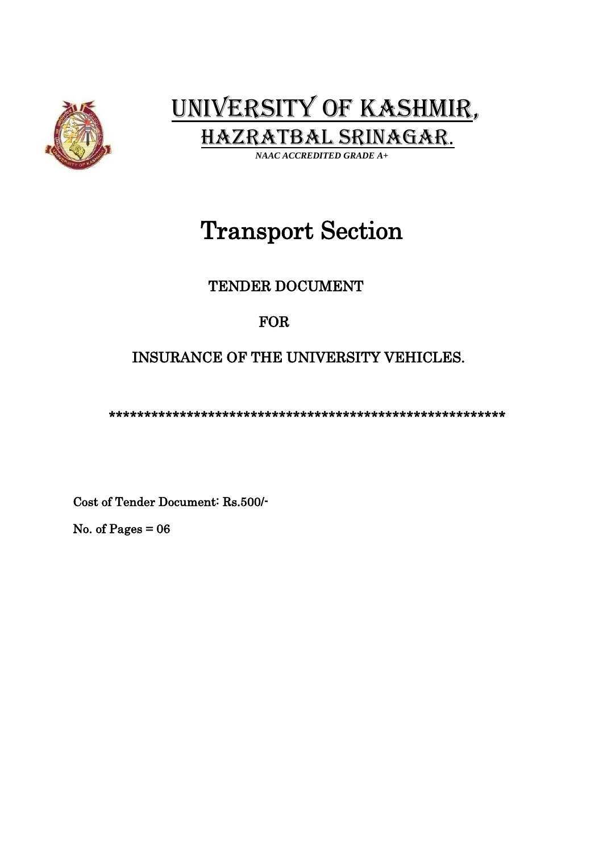

 UNIVERSITY OF KASHMIR, HAZRATBAL SRINAGAR.

 *NAAC ACCREDITED GRADE A+* 

# Transport Section

### TENDER DOCUMENT

### FOR

## INSURANCE OF THE UNIVERSITY VEHICLES.

\*\*\*\*\*\*\*\*\*\*\*\*\*\*\*\*\*\*\*\*\*\*\*\*\*\*\*\*\*\*\*\*\*\*\*\*\*\*\*\*\*\*\*\*\*\*\*\*\*\*\*\*\*\*\*\*

Cost of Tender Document: Rs.500/-

No. of Pages  $= 06$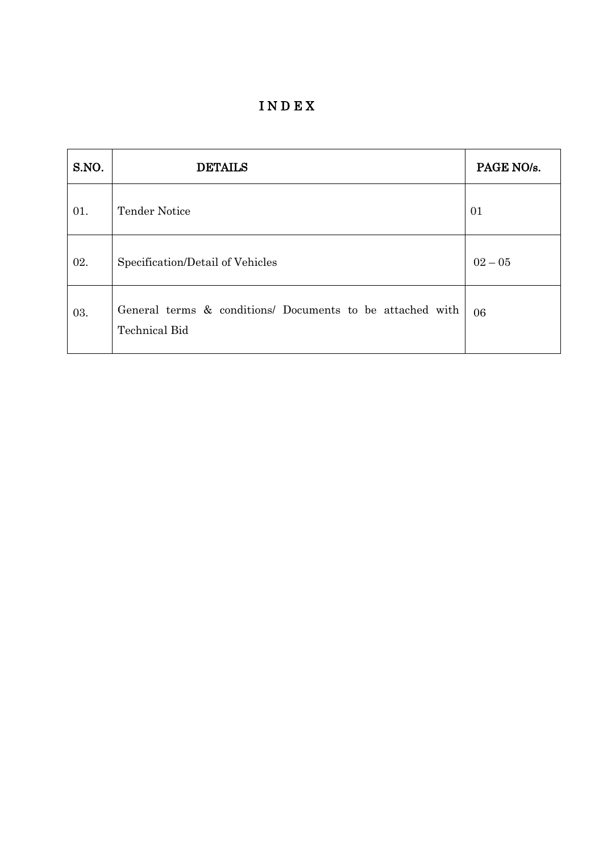I N D E X

| S.NO. | <b>DETAILS</b>                                                                    | PAGE NO/s. |
|-------|-----------------------------------------------------------------------------------|------------|
| 01.   | <b>Tender Notice</b>                                                              | 01         |
| 02.   | Specification/Detail of Vehicles                                                  | $02 - 05$  |
| 03.   | General terms & conditions/ Documents to be attached with<br><b>Technical Bid</b> | 06         |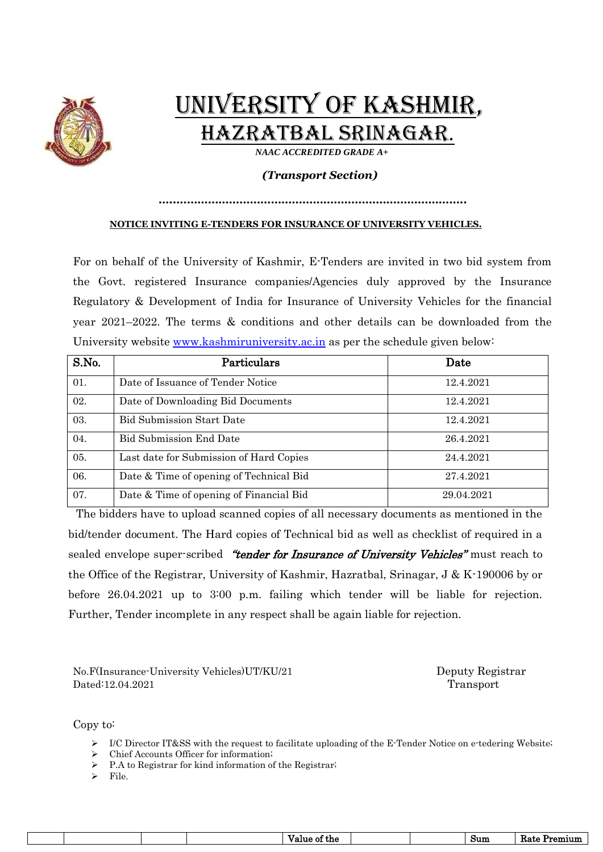

# UNIVERSITY OF KASHMIR, HAZRATBAL SRINAGAR.

 *NAAC ACCREDITED GRADE A+* 

#### *(Transport Section)*

#### *…..………………………………………………………………………..* **NOTICE INVITING E-TENDERS FOR INSURANCE OF UNIVERSITY VEHICLES.**

For on behalf of the University of Kashmir, E-Tenders are invited in two bid system from the Govt. registered Insurance companies/Agencies duly approved by the Insurance Regulatory & Development of India for Insurance of University Vehicles for the financial year 2021–2022. The terms & conditions and other details can be downloaded from the University website [www.kashmiruniversity.ac.in](http://www.kashmiruniversity.ac.in/) as per the schedule given below:

| S.No. | Particulars                             | Date       |
|-------|-----------------------------------------|------------|
| 01.   | Date of Issuance of Tender Notice       | 12.4.2021  |
| 02.   | Date of Downloading Bid Documents       | 12.4.2021  |
| 03.   | <b>Bid Submission Start Date</b>        | 12.4.2021  |
| 04.   | <b>Bid Submission End Date</b>          | 26.4.2021  |
| 05.   | Last date for Submission of Hard Copies | 24.4.2021  |
| 06.   | Date & Time of opening of Technical Bid | 27.4.2021  |
| 07.   | Date & Time of opening of Financial Bid | 29.04.2021 |

The bidders have to upload scanned copies of all necessary documents as mentioned in the bid/tender document. The Hard copies of Technical bid as well as checklist of required in a sealed envelope super-scribed "tender for Insurance of University Vehicles" must reach to the Office of the Registrar, University of Kashmir, Hazratbal, Srinagar, J & K-190006 by or before 26.04.2021 up to 3:00 p.m. failing which tender will be liable for rejection. Further, Tender incomplete in any respect shall be again liable for rejection.

No.F(Insurance-University Vehicles)UT/KU/21 Deputy Registrar Dated:12.04.2021 Transport

Copy to:

- ➢ I/C Director IT&SS with the request to facilitate uploading of the E-Tender Notice on e-tedering Website;
- ➢ Chief Accounts Officer for information;
- P.A to Registrar for kind information of the Registrar;
- ➢ File.

| $_{\text{Sum}}$<br>the<br>ОI<br>ี ภ เา เ<br>.<br>.<br>----- |
|-------------------------------------------------------------|
|-------------------------------------------------------------|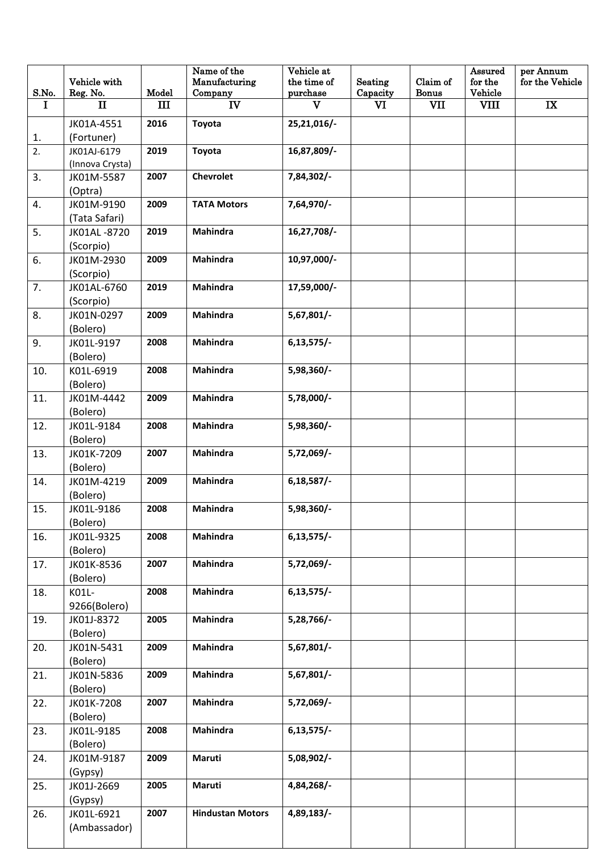| S.No.    | Vehicle with<br>Reg. No. | Model | Name of the<br>Manufacturing<br>Company | Vehicle at<br>the time of<br>purchase | Seating<br>Capacity | Claim of<br><b>Bonus</b> | Assured<br>for the<br>Vehicle | per Annum<br>for the Vehicle |
|----------|--------------------------|-------|-----------------------------------------|---------------------------------------|---------------------|--------------------------|-------------------------------|------------------------------|
| $\bf{I}$ | П                        | Ш     | IV                                      | $\mathbf{V}$                          | $\mathbf{V}$        | VII                      | <b>VIII</b>                   | IX                           |
|          | JK01A-4551               | 2016  | Toyota                                  | 25,21,016/-                           |                     |                          |                               |                              |
| 1.       | (Fortuner)               |       |                                         |                                       |                     |                          |                               |                              |
| 2.       | JK01AJ-6179              | 2019  | Toyota                                  | 16,87,809/-                           |                     |                          |                               |                              |
|          | (Innova Crysta)          |       |                                         |                                       |                     |                          |                               |                              |
| 3.       | JK01M-5587               | 2007  | <b>Chevrolet</b>                        | 7,84,302/-                            |                     |                          |                               |                              |
|          | (Optra)                  |       |                                         |                                       |                     |                          |                               |                              |
| 4.       | JK01M-9190               | 2009  | <b>TATA Motors</b>                      | 7,64,970/-                            |                     |                          |                               |                              |
|          | (Tata Safari)            |       |                                         |                                       |                     |                          |                               |                              |
| 5.       | JK01AL-8720              | 2019  | Mahindra                                | 16,27,708/-                           |                     |                          |                               |                              |
|          | (Scorpio)                |       |                                         |                                       |                     |                          |                               |                              |
| 6.       | JK01M-2930               | 2009  | Mahindra                                | 10,97,000/-                           |                     |                          |                               |                              |
|          | (Scorpio)                |       |                                         |                                       |                     |                          |                               |                              |
| 7.       | JK01AL-6760              | 2019  | Mahindra                                | 17,59,000/-                           |                     |                          |                               |                              |
|          | (Scorpio)                |       | <b>Mahindra</b>                         |                                       |                     |                          |                               |                              |
| 8.       | JK01N-0297<br>(Bolero)   | 2009  |                                         | $5,67,801/$ -                         |                     |                          |                               |                              |
| 9.       | JK01L-9197               | 2008  | Mahindra                                | $6,13,575/$ -                         |                     |                          |                               |                              |
|          | (Bolero)                 |       |                                         |                                       |                     |                          |                               |                              |
| 10.      | K01L-6919                | 2008  | Mahindra                                | 5,98,360/-                            |                     |                          |                               |                              |
|          | (Bolero)                 |       |                                         |                                       |                     |                          |                               |                              |
| 11.      | JK01M-4442               | 2009  | Mahindra                                | 5,78,000/-                            |                     |                          |                               |                              |
|          | (Bolero)                 |       |                                         |                                       |                     |                          |                               |                              |
| 12.      | JK01L-9184               | 2008  | Mahindra                                | 5,98,360/-                            |                     |                          |                               |                              |
|          | (Bolero)                 |       |                                         |                                       |                     |                          |                               |                              |
| 13.      | JK01K-7209               | 2007  | Mahindra                                | $5,72,069/-$                          |                     |                          |                               |                              |
|          | (Bolero)                 |       |                                         |                                       |                     |                          |                               |                              |
| 14.      | JK01M-4219               | 2009  | Mahindra                                | $6,18,587/$ -                         |                     |                          |                               |                              |
|          | (Bolero)                 |       |                                         |                                       |                     |                          |                               |                              |
| 15.      | JK01L-9186               | 2008  | Mahindra                                | 5,98,360/-                            |                     |                          |                               |                              |
|          | (Bolero)                 |       |                                         |                                       |                     |                          |                               |                              |
| 16.      | JK01L-9325               | 2008  | Mahindra                                | $6,13,575/$ -                         |                     |                          |                               |                              |
|          | (Bolero)                 |       |                                         |                                       |                     |                          |                               |                              |
| 17.      | JK01K-8536               | 2007  | Mahindra                                | 5,72,069/-                            |                     |                          |                               |                              |
|          | (Bolero)<br>K01L-        | 2008  | <b>Mahindra</b>                         | $6,13,575/$ -                         |                     |                          |                               |                              |
| 18.      | 9266(Bolero)             |       |                                         |                                       |                     |                          |                               |                              |
| 19.      | JK01J-8372               | 2005  | <b>Mahindra</b>                         | 5,28,766/-                            |                     |                          |                               |                              |
|          | (Bolero)                 |       |                                         |                                       |                     |                          |                               |                              |
| 20.      | JK01N-5431               | 2009  | Mahindra                                | 5,67,801/                             |                     |                          |                               |                              |
|          | (Bolero)                 |       |                                         |                                       |                     |                          |                               |                              |
| 21.      | JK01N-5836               | 2009  | Mahindra                                | 5,67,801/                             |                     |                          |                               |                              |
|          | (Bolero)                 |       |                                         |                                       |                     |                          |                               |                              |
| 22.      | JK01K-7208               | 2007  | Mahindra                                | 5,72,069/-                            |                     |                          |                               |                              |
|          | (Bolero)                 |       |                                         |                                       |                     |                          |                               |                              |
| 23.      | JK01L-9185               | 2008  | Mahindra                                | $6,13,575/$ -                         |                     |                          |                               |                              |
|          | (Bolero)                 |       |                                         |                                       |                     |                          |                               |                              |
| 24.      | JK01M-9187               | 2009  | Maruti                                  | 5,08,902/-                            |                     |                          |                               |                              |
|          | (Gypsy)                  |       |                                         |                                       |                     |                          |                               |                              |
| 25.      | JK01J-2669               | 2005  | Maruti                                  | 4,84,268/-                            |                     |                          |                               |                              |
|          | (Gypsy)                  |       |                                         |                                       |                     |                          |                               |                              |
| 26.      | JK01L-6921               | 2007  | <b>Hindustan Motors</b>                 | 4,89,183/-                            |                     |                          |                               |                              |
|          | (Ambassador)             |       |                                         |                                       |                     |                          |                               |                              |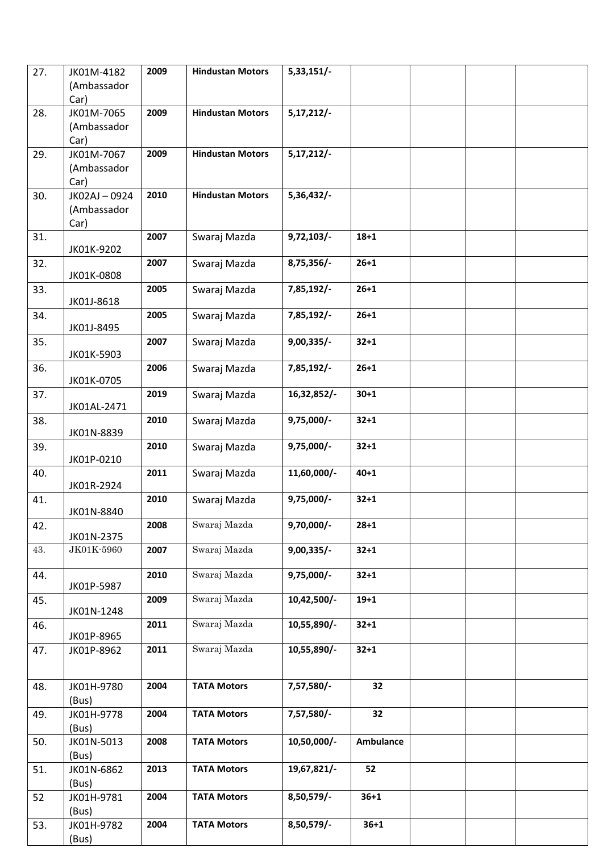| 27. | JK01M-4182<br>(Ambassador<br>Car)  | 2009 | <b>Hindustan Motors</b> | 5,33,151/     |           |  |  |
|-----|------------------------------------|------|-------------------------|---------------|-----------|--|--|
| 28. | JK01M-7065<br>(Ambassador<br>Car)  | 2009 | <b>Hindustan Motors</b> | $5,17,212/-$  |           |  |  |
| 29. | JK01M-7067<br>(Ambassador<br>Car)  | 2009 | <b>Hindustan Motors</b> | $5,17,212/-$  |           |  |  |
| 30. | JK02AJ-0924<br>(Ambassador<br>Car) | 2010 | <b>Hindustan Motors</b> | 5,36,432/-    |           |  |  |
| 31. | JK01K-9202                         | 2007 | Swaraj Mazda            | 9,72,103/     | $18 + 1$  |  |  |
| 32. | JK01K-0808                         | 2007 | Swaraj Mazda            | 8,75,356/-    | $26 + 1$  |  |  |
| 33. | JK01J-8618                         | 2005 | Swaraj Mazda            | 7,85,192/-    | $26 + 1$  |  |  |
| 34. | JK01J-8495                         | 2005 | Swaraj Mazda            | 7,85,192/-    | $26 + 1$  |  |  |
| 35. | JK01K-5903                         | 2007 | Swaraj Mazda            | $9,00,335/$ - | $32 + 1$  |  |  |
| 36. | JK01K-0705                         | 2006 | Swaraj Mazda            | 7,85,192/-    | $26 + 1$  |  |  |
| 37. | JK01AL-2471                        | 2019 | Swaraj Mazda            | 16,32,852/-   | $30 + 1$  |  |  |
| 38. | JK01N-8839                         | 2010 | Swaraj Mazda            | $9,75,000/-$  | $32 + 1$  |  |  |
| 39. | JK01P-0210                         | 2010 | Swaraj Mazda            | $9,75,000/-$  | $32 + 1$  |  |  |
| 40. | JK01R-2924                         | 2011 | Swaraj Mazda            | 11,60,000/-   | $40 + 1$  |  |  |
| 41. | JK01N-8840                         | 2010 | Swaraj Mazda            | $9,75,000/-$  | $32 + 1$  |  |  |
| 42. | JK01N-2375                         | 2008 | Swaraj Mazda            | $9,70,000/-$  | $28 + 1$  |  |  |
| 43. | JK01K-5960                         | 2007 | Swaraj Mazda            | $9,00,335/$ - | $32 + 1$  |  |  |
| 44. | JK01P-5987                         | 2010 | Swaraj Mazda            | $9,75,000/-$  | $32 + 1$  |  |  |
| 45. | JK01N-1248                         | 2009 | Swaraj Mazda            | 10,42,500/-   | $19 + 1$  |  |  |
| 46. | JK01P-8965                         | 2011 | Swaraj Mazda            | 10,55,890/-   | $32 + 1$  |  |  |
| 47. | JK01P-8962                         | 2011 | Swaraj Mazda            | 10,55,890/-   | $32 + 1$  |  |  |
| 48. | JK01H-9780<br>(Bus)                | 2004 | <b>TATA Motors</b>      | 7,57,580/-    | 32        |  |  |
| 49. | JK01H-9778<br>(Bus)                | 2004 | <b>TATA Motors</b>      | 7,57,580/-    | 32        |  |  |
| 50. | JK01N-5013<br>(Bus)                | 2008 | <b>TATA Motors</b>      | 10,50,000/-   | Ambulance |  |  |
| 51. | JK01N-6862                         | 2013 | <b>TATA Motors</b>      | 19,67,821/-   | 52        |  |  |
| 52  | (Bus)<br>JK01H-9781                | 2004 | <b>TATA Motors</b>      | 8,50,579/-    | $36 + 1$  |  |  |
| 53. | (Bus)<br>JK01H-9782<br>(Bus)       | 2004 | <b>TATA Motors</b>      | 8,50,579/-    | $36 + 1$  |  |  |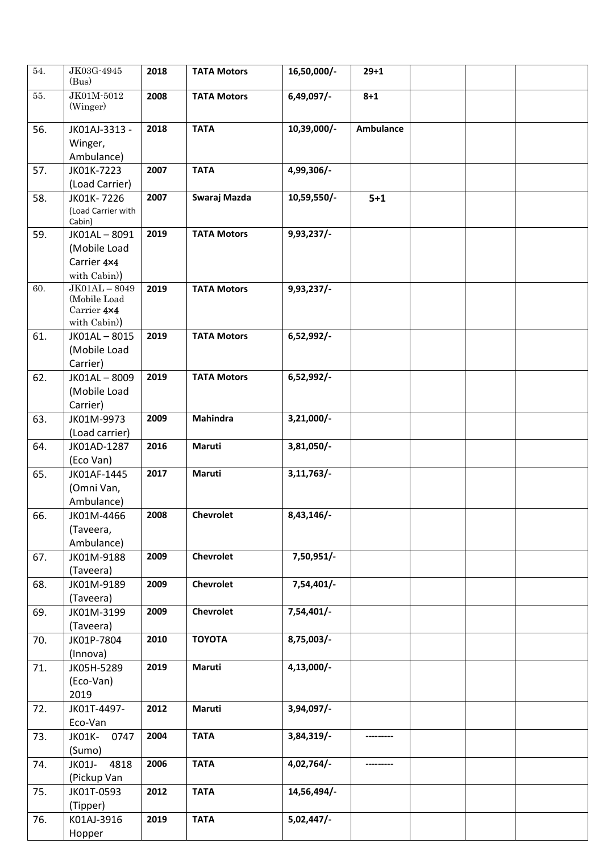| 54. | JK03G-4945<br>(Bus)                                         | 2018 | <b>TATA Motors</b> | 16,50,000/-   | $29 + 1$         |  |  |
|-----|-------------------------------------------------------------|------|--------------------|---------------|------------------|--|--|
| 55. | JK01M-5012<br>(Winger)                                      | 2008 | <b>TATA Motors</b> | 6,49,097/-    | $8 + 1$          |  |  |
| 56. | JK01AJ-3313 -<br>Winger,                                    | 2018 | <b>TATA</b>        | 10,39,000/-   | <b>Ambulance</b> |  |  |
|     | Ambulance)                                                  |      |                    |               |                  |  |  |
| 57. | JK01K-7223                                                  | 2007 | <b>TATA</b>        | 4,99,306/-    |                  |  |  |
|     | (Load Carrier)                                              |      |                    |               |                  |  |  |
| 58. | JK01K-7226<br>(Load Carrier with<br>Cabin)                  | 2007 | Swaraj Mazda       | 10,59,550/-   | $5+1$            |  |  |
| 59. | JK01AL-8091<br>(Mobile Load<br>Carrier 4×4<br>with Cabin))  | 2019 | <b>TATA Motors</b> | $9,93,237/$ - |                  |  |  |
| 60. | $JK01AL-8049$<br>(Mobile Load<br>Carrier 4×4<br>with Cabin) | 2019 | <b>TATA Motors</b> | 9,93,237/-    |                  |  |  |
| 61. | JK01AL-8015<br>(Mobile Load<br>Carrier)                     | 2019 | <b>TATA Motors</b> | 6,52,992/-    |                  |  |  |
| 62. | JK01AL-8009<br>(Mobile Load<br>Carrier)                     | 2019 | <b>TATA Motors</b> | 6,52,992/-    |                  |  |  |
| 63. | JK01M-9973                                                  | 2009 | Mahindra           | $3,21,000/-$  |                  |  |  |
|     | (Load carrier)                                              |      |                    |               |                  |  |  |
| 64. | JK01AD-1287                                                 | 2016 | Maruti             | $3,81,050/-$  |                  |  |  |
|     | (Eco Van)                                                   |      |                    |               |                  |  |  |
| 65. | JK01AF-1445<br>(Omni Van,                                   | 2017 | Maruti             | 3,11,763/     |                  |  |  |
|     | Ambulance)                                                  |      |                    |               |                  |  |  |
| 66. | JK01M-4466                                                  | 2008 | Chevrolet          | 8,43,146/-    |                  |  |  |
|     | (Taveera,                                                   |      |                    |               |                  |  |  |
|     | Ambulance)                                                  |      |                    |               |                  |  |  |
| 67. | JK01M-9188                                                  | 2009 | <b>Chevrolet</b>   | 7,50,951/-    |                  |  |  |
| 68. | (Taveera)<br>JK01M-9189                                     | 2009 | <b>Chevrolet</b>   | $7,54,401/-$  |                  |  |  |
|     | (Taveera)                                                   |      |                    |               |                  |  |  |
| 69. | JK01M-3199                                                  | 2009 | <b>Chevrolet</b>   | 7,54,401/     |                  |  |  |
|     | (Taveera)                                                   |      |                    |               |                  |  |  |
| 70. | JK01P-7804                                                  | 2010 | <b>TOYOTA</b>      | 8,75,003/-    |                  |  |  |
|     | (Innova)                                                    |      |                    |               |                  |  |  |
| 71. | JK05H-5289                                                  | 2019 | Maruti             | $4,13,000/-$  |                  |  |  |
|     | (Eco-Van)                                                   |      |                    |               |                  |  |  |
|     | 2019                                                        |      |                    |               |                  |  |  |
| 72. | JK01T-4497-                                                 | 2012 | Maruti             | 3,94,097/-    |                  |  |  |
|     | Eco-Van                                                     |      |                    |               |                  |  |  |
| 73. | 0747<br>JK01K-                                              | 2004 | <b>TATA</b>        | 3,84,319/-    |                  |  |  |
|     | (Sumo)<br>JK01J-<br>4818                                    | 2006 | <b>TATA</b>        | 4,02,764/-    |                  |  |  |
| 74. | (Pickup Van                                                 |      |                    |               |                  |  |  |
| 75. | JK01T-0593                                                  | 2012 | <b>TATA</b>        | 14,56,494/-   |                  |  |  |
|     | (Tipper)                                                    |      |                    |               |                  |  |  |
| 76. | K01AJ-3916                                                  | 2019 | <b>TATA</b>        | 5,02,447/     |                  |  |  |
|     | Hopper                                                      |      |                    |               |                  |  |  |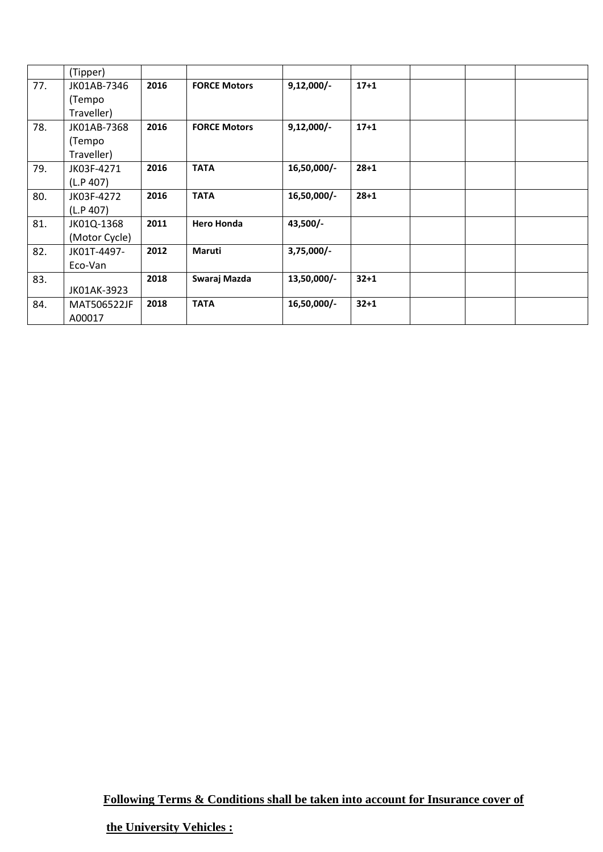|     | (Tipper)      |      |                     |              |          |  |  |
|-----|---------------|------|---------------------|--------------|----------|--|--|
| 77. | JK01AB-7346   | 2016 | <b>FORCE Motors</b> | $9,12,000/-$ | $17 + 1$ |  |  |
|     | (Tempo        |      |                     |              |          |  |  |
|     | Traveller)    |      |                     |              |          |  |  |
| 78. | JK01AB-7368   | 2016 | <b>FORCE Motors</b> | $9,12,000/-$ | $17 + 1$ |  |  |
|     | (Tempo        |      |                     |              |          |  |  |
|     | Traveller)    |      |                     |              |          |  |  |
| 79. | JK03F-4271    | 2016 | <b>TATA</b>         | 16,50,000/-  | $28 + 1$ |  |  |
|     | (L.P. 407)    |      |                     |              |          |  |  |
| 80. | JK03F-4272    | 2016 | <b>TATA</b>         | 16,50,000/-  | $28 + 1$ |  |  |
|     | (L.P.407)     |      |                     |              |          |  |  |
| 81. | JK01Q-1368    | 2011 | <b>Hero Honda</b>   | 43,500/-     |          |  |  |
|     | (Motor Cycle) |      |                     |              |          |  |  |
| 82. | JK01T-4497-   | 2012 | Maruti              | $3,75,000/-$ |          |  |  |
|     | Eco-Van       |      |                     |              |          |  |  |
| 83. |               | 2018 | Swaraj Mazda        | 13,50,000/-  | $32 + 1$ |  |  |
|     | JK01AK-3923   |      |                     |              |          |  |  |
| 84. | MAT506522JF   | 2018 | <b>TATA</b>         | 16,50,000/-  | $32 + 1$ |  |  |
|     | A00017        |      |                     |              |          |  |  |